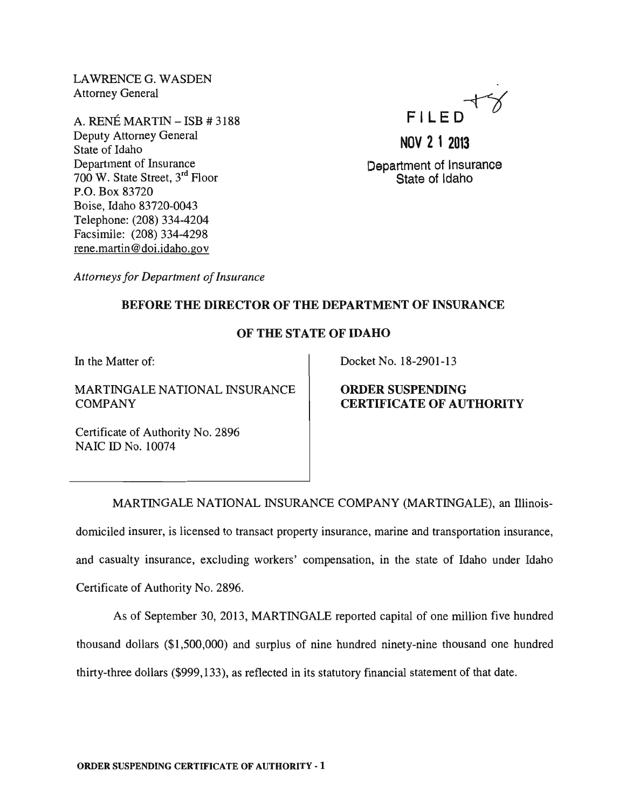LAWRENCEG. WASDEN Attorney General

A. RENÉ MARTIN – ISB # 3188 Deputy Attorney General State of Idaho Department of Insurance 700 W. State Street, 3rd Floor P.O. Box 83720 Boise, Idaho 83720-0043 Telephone: (208) 334-4204 Facsimile: (208) 334-4298 rene.martin@doi.idaho.gov

# FILED

**NOV 2 1 2013** 

Department of Insurance State of Idaho

*Attorneys for Department of Insurance* 

## BEFORE THE DIRECTOR OF THE DEPARTMENT OF INSURANCE

## OF THE STATE OF IDAHO

In the Matter of:

MARTINGALE NATIONAL INSURANCE COMPANY

Docket No. 18-2901-13

### ORDER SUSPENDING CERTIFICATE OF AUTHORITY

Certificate of Authority No. 2896 NAIC ID No. 10074

MARTINGALE NATIONAL INSURANCE COMPANY (MARTINGALE), an lllinoisdomiciled insurer, is licensed to transact property insurance, marine and transportation insurance, and casualty insurance, excluding workers' compensation, in the state of Idaho under Idaho Certificate of Authority No. 2896.

As of September 30, 2013, MARTINGALE reported capital of one million five hundred thousand dollars (\$1,500,000) and surplus of nine hundred ninety-nine thousand one hundred thirty-three dollars (\$999,133), as reflected in its statutory financial statement of that date.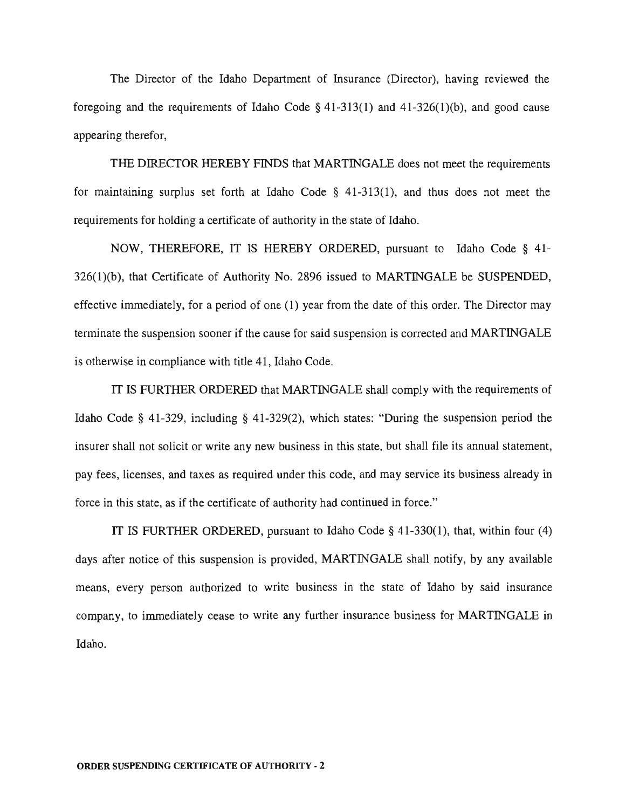The Director of the Idaho Department of Insurance (Director), having reviewed the foregoing and the requirements of Idaho Code  $\S$  41-313(1) and 41-326(1)(b), and good cause appearing therefor,

THE DIRECTOR HEREBY FINDS that MARTINGALE does not meet the requirements for maintaining surplus set forth at Idaho Code  $\S$  41-313(1), and thus does not meet the requirements for holding a certificate of authority in the state of Idaho.

NOW, THEREFORE, IT IS HEREBY ORDERED, pursuant to Idaho Code § 41- 326(1)(b), that Certificate of Authority No. 2896 issued to MARTINGALE be SUSPENDED, effective immediately, for a period of one (1) year from the date of this order. The Director may terminate the suspension sooner if the cause for said suspension is corrected and MARTINGALE is otherwise in compliance with title 41, Idaho Code.

IT IS FURTHER ORDERED that MARTINGALE shall comply with the requirements of Idaho Code § 41-329, including § 41-329(2), which states: "During the suspension period the insurer shall not solicit or write any new business in this state, but shall file its annual statement, pay fees, licenses, and taxes as required under this code, and may service its business already in force in this state, as if the certificate of authority had continued in force."

IT IS FURTHER ORDERED, pursuant to Idaho Code § 41-330(1), that, within four (4) days after notice of this suspension is provided, MARTINGALE shall notify, by any available means, every person authorized to write business in the state of Idaho by said insurance company, to immediately cease to write any further insurance business for MARTINGALE in Idaho.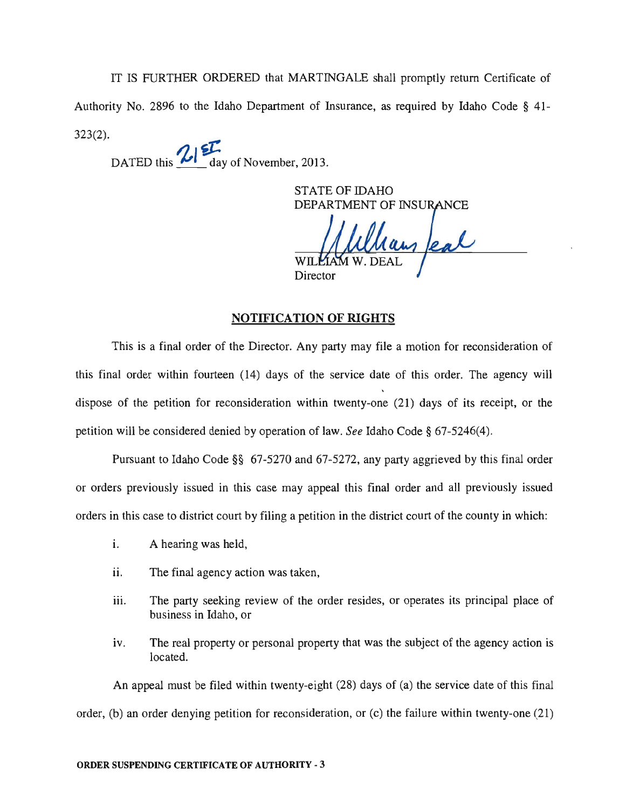IT IS FURTHER ORDERED that MARTINGALE shall promptly return Certificate of Authority No. 2896 to the Idaho Department of Insurance, as required by Idaho Code § 41- 323(2).

DATED this **2**<sup>2</sup>**1** day of November, 2013.

STATE OF IDAHO DEPARTMENT OF INSURANCE

lans feal Director

#### **NOTIFICATION OF RIGHTS**

This is a final order of the Director. Any party may file a motion for reconsideration of this final order within fourteen (14) days of the service date of this order. The agency will dispose of the petition for reconsideration within twenty-one (21) days of its receipt, or the petition will be considered denied by operation of law. *See* Idaho Code § 67-5246(4).

Pursuant to Idaho Code §§ 67-5270 and 67-5272, any party aggrieved by this final order or orders previously issued in this case may appeal this final order and all previously issued orders in this case to district court by filing a petition in the district court of the county in which:

- i. A hearing was held,
- ii. The final agency action was taken,
- iii. The party seeking review of the order resides, or operates its principal place of business in Idaho, or
- iv. The real property or personal property that was the subject of the agency action is located.

An appeal must be filed within twenty-eight (28) days of (a) the service date of this final order, (b) an order denying petition for reconsideration, or (c) the failure within twenty-one (21)